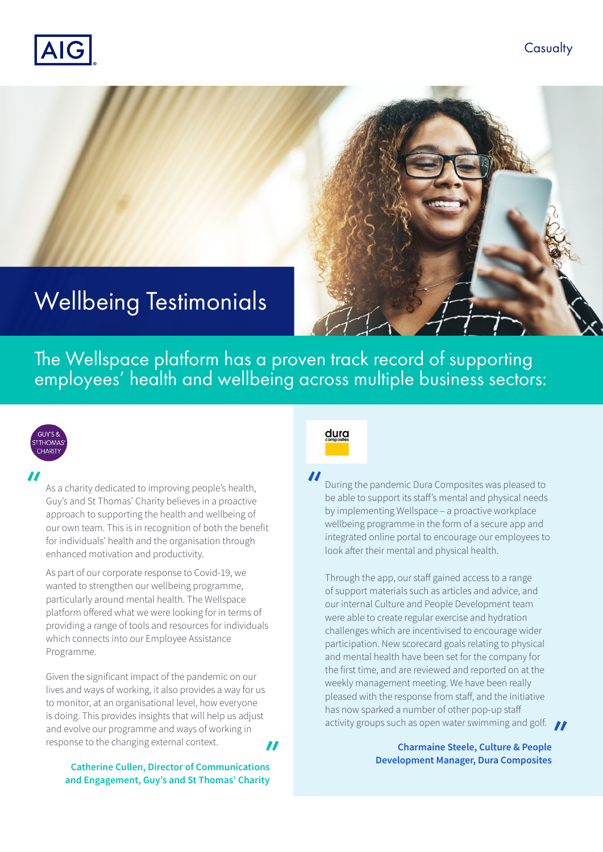



The Wellspace platform has a proven track record of supporting employees' health and wellbeing across multiple business sectors:



As a charity dedicated to improving people's health, Guy's and St Thomas' Charity believes in a proactive approach to supporting the health and wellbeing of our own team. This is in recognition of both the benefit for individuals' health and the organisation through enhanced motivation and productivity. As a charity dedicated to improving people's health,<br>
Guy's and St Thomas' Charity believes in a proactive

As part of our corporate response to Covid-19, we wanted to strengthen our wellbeing programme, particularly around mental health. The Wellspace platform offered what we were looking for in terms of providing a range of tools and resources for individuals which connects into our Employee Assistance Programme.

Given the significant impact of the pandemic on our lives and ways of working, it also provides a way for us to monitor, at an organisational level, how everyone is doing. This provides insights that will help us adjust and evolve our programme and ways of working in response to the changing external context. "

**Catherine Cullen, Director of Communications and Engagement, Guy's and St Thomas' Charity**

# <u>dura</u>

During the pandemic Dura Composites was pleased to be able to support its staff's mental and physical needs by implementing Wellspace – a proactive workplace wellbeing programme in the form of a secure app and integrated online portal to encourage our employees to look after their mental and physical health.

Through the app, our staff gained access to a range of support materials such as articles and advice, and our internal Culture and People Development team were able to create regular exercise and hydration challenges which are incentivised to encourage wider participation. New scorecard goals relating to physical and mental health have been set for the company for the first time, and are reviewed and reported on at the weekly management meeting. We have been really pleased with the response from staff, and the initiative has now sparked a number of other pop-up staff activity groups such as open water swimming and golf.  $\blacksquare$ <br>Charmaine Steele, Culture & People

**Charmaine Steele, Culture & People Development Manager, Dura Composites**